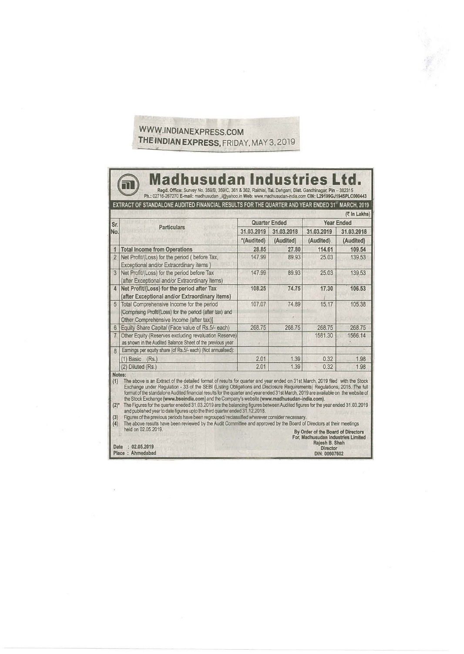## WWW.INDIANEXPRESS.COM **THE·INDIAN EXPRESS,** FRIDAY, MAY 3, 2019

驚人

| Sr.<br>No.<br>$\overline{1}$ | <b>Particulars</b>                                                                                                                               | <b>Quarter Ended</b>     |           |                          |           |  |
|------------------------------|--------------------------------------------------------------------------------------------------------------------------------------------------|--------------------------|-----------|--------------------------|-----------|--|
|                              |                                                                                                                                                  |                          |           | <b>Year Ended</b>        |           |  |
|                              |                                                                                                                                                  | 31.03.2019<br>31.03.2018 |           | 31.03.2019<br>31.03.2018 |           |  |
|                              |                                                                                                                                                  | *(Audited)               | (Audited) | (Audited)                | (Audited) |  |
|                              | <b>Total Income from Operations</b>                                                                                                              | 28.85                    | 27.80     | 114.61                   | 109.54    |  |
| $\overline{2}$               | Net Profit/(Loss) for the period ( before Tax,<br>Exceptional and/or Extraordinary items)                                                        | 147.99                   | 89.93     | 25.03                    | 139.53    |  |
| 3                            | Net Profit/(Loss) for the period before Tax<br>(after Exceptional and/or Extraordinary items)                                                    | 147.99                   | 89.93     | 25.03                    | 139.53    |  |
| 4                            | Net Profit/(Loss) for the period after Tax<br>(after Exceptional and/or Extraordinary items)                                                     | 108.25                   | 74.75     | 17.30                    | 106.53    |  |
| 5 <sup>5</sup>               | Total Comprehensive Income for the period<br>[Comprising Profit/(Loss) for the period (after tax) and<br>Other Comprehensive Income (after tax)] | 107.07                   | 74.89     | 15.17                    | 105.38    |  |
| 6 <sup>1</sup>               | Equity Share Capital (Face value of Rs.5/- each)                                                                                                 | 268.75                   | 268.75    | 268.75                   | 268.75    |  |
| $7\overline{ }$              | Other Equity (Reserves excluding revaluation Reserve)<br>as shown in the Audited Balance Sheet of the previous year                              |                          |           | 1581.30                  | 1566.14   |  |
| 8                            | Earnings per equity share (of Rs.5/- each) (Not annualised):                                                                                     |                          |           |                          |           |  |
|                              | $(1)$ Basic $(Rs.)$                                                                                                                              | 2.01                     | 1.39      | 0.32                     | 1.98      |  |
|                              | (2) Diluted (Rs.)                                                                                                                                | 2.01                     | 1.39      | 0.32                     | 1.98      |  |